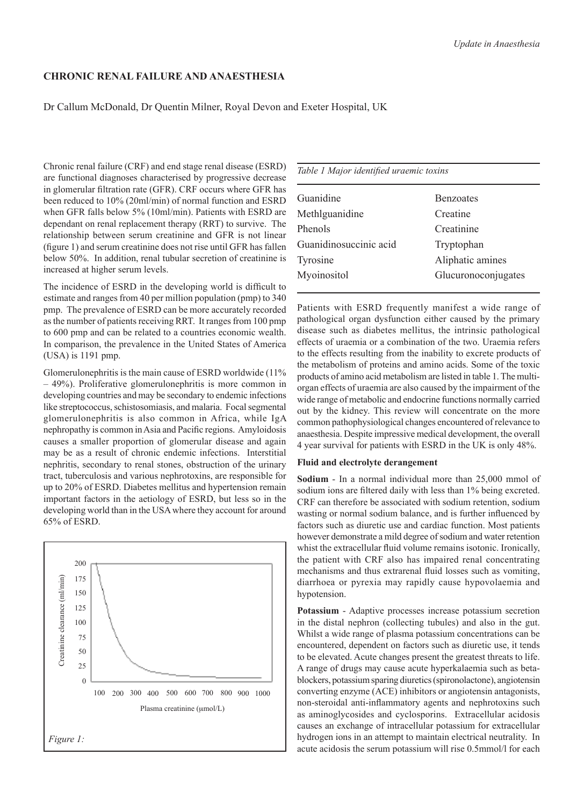# **Chronic Renal Failure and Anaesthesia**

Dr Callum McDonald, Dr Quentin Milner, Royal Devon and Exeter Hospital, UK

Chronic renal failure (CRF) and end stage renal disease (ESRD) are functional diagnoses characterised by progressive decrease in glomerular filtration rate (GFR). CRF occurs where GFR has been reduced to 10% (20ml/min) of normal function and ESRD when GFR falls below 5% (10ml/min). Patients with ESRD are dependant on renal replacement therapy (RRT) to survive. The relationship between serum creatinine and GFR is not linear (figure 1) and serum creatinine does not rise until GFR has fallen below 50%. In addition, renal tubular secretion of creatinine is increased at higher serum levels.

The incidence of ESRD in the developing world is difficult to estimate and ranges from 40 per million population (pmp) to 340 pmp. The prevalence of ESRD can be more accurately recorded as the number of patients receiving RRT. It ranges from 100 pmp to 600 pmp and can be related to a countries economic wealth. In comparison, the prevalence in the United States of America (USA) is 1191 pmp.

Glomerulonephritis is the main cause of ESRD worldwide (11% – 49%). Proliferative glomerulonephritis is more common in developing countries and may be secondary to endemic infections like streptococcus, schistosomiasis, and malaria. Focal segmental glomerulonephritis is also common in Africa, while IgA nephropathy is common in Asia and Pacific regions. Amyloidosis causes a smaller proportion of glomerular disease and again may be as a result of chronic endemic infections. Interstitial nephritis, secondary to renal stones, obstruction of the urinary tract, tuberculosis and various nephrotoxins, are responsible for up to 20% of ESRD. Diabetes mellitus and hypertension remain important factors in the aetiology of ESRD, but less so in the developing world than in the USA where they account for around 65% of ESRD.



|  |  |  | Table 1 Major identified uraemic toxins |  |  |
|--|--|--|-----------------------------------------|--|--|
|--|--|--|-----------------------------------------|--|--|

| Guanidine              | <b>Benzoates</b>    |
|------------------------|---------------------|
| Methlguanidine         | Creatine            |
| Phenols                | Creatinine          |
| Guanidinosuccinic acid | Tryptophan          |
| Tyrosine               | Aliphatic amines    |
| Myoinositol            | Glucuronoconjugates |
|                        |                     |

Patients with ESRD frequently manifest a wide range of pathological organ dysfunction either caused by the primary disease such as diabetes mellitus, the intrinsic pathological effects of uraemia or a combination of the two. Uraemia refers to the effects resulting from the inability to excrete products of the metabolism of proteins and amino acids. Some of the toxic products of amino acid metabolism are listed in table 1. The multiorgan effects of uraemia are also caused by the impairment of the wide range of metabolic and endocrine functions normally carried out by the kidney. This review will concentrate on the more common pathophysiological changes encountered of relevance to anaesthesia. Despite impressive medical development, the overall 4 year survival for patients with ESRD in the UK is only 48%.

### **Fluid and electrolyte derangement**

**Sodium** - In a normal individual more than 25,000 mmol of sodium ions are filtered daily with less than 1% being excreted. CRF can therefore be associated with sodium retention, sodium wasting or normal sodium balance, and is further influenced by factors such as diuretic use and cardiac function. Most patients however demonstrate a mild degree of sodium and water retention whist the extracellular fluid volume remains isotonic. Ironically, the patient with CRF also has impaired renal concentrating mechanisms and thus extrarenal fluid losses such as vomiting, diarrhoea or pyrexia may rapidly cause hypovolaemia and hypotension.

**Potassium** - Adaptive processes increase potassium secretion in the distal nephron (collecting tubules) and also in the gut. Whilst a wide range of plasma potassium concentrations can be encountered, dependent on factors such as diuretic use, it tends to be elevated. Acute changes present the greatest threats to life. A range of drugs may cause acute hyperkalaemia such as betablockers, potassium sparing diuretics (spironolactone), angiotensin converting enzyme (ACE) inhibitors or angiotensin antagonists, non-steroidal anti-inflammatory agents and nephrotoxins such as aminoglycosides and cyclosporins. Extracellular acidosis causes an exchange of intracellular potassium for extracellular hydrogen ions in an attempt to maintain electrical neutrality. In acute acidosis the serum potassium will rise 0.5mmol/l for each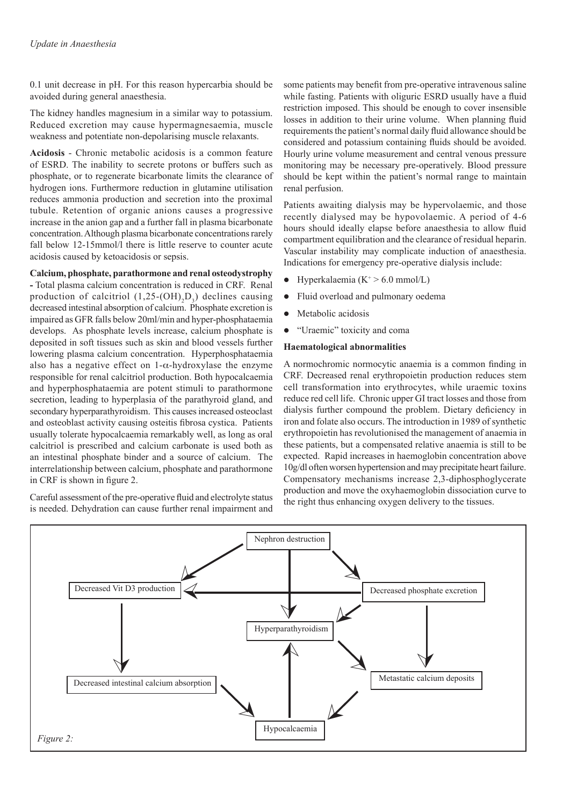0.1 unit decrease in pH. For this reason hypercarbia should be avoided during general anaesthesia.

The kidney handles magnesium in a similar way to potassium. Reduced excretion may cause hypermagnesaemia, muscle weakness and potentiate non-depolarising muscle relaxants.

**Acidosis** - Chronic metabolic acidosis is a common feature of ESRD. The inability to secrete protons or buffers such as phosphate, or to regenerate bicarbonate limits the clearance of hydrogen ions. Furthermore reduction in glutamine utilisation reduces ammonia production and secretion into the proximal tubule. Retention of organic anions causes a progressive increase in the anion gap and a further fall in plasma bicarbonate concentration. Although plasma bicarbonate concentrations rarely fall below 12-15mmol/l there is little reserve to counter acute acidosis caused by ketoacidosis or sepsis.

## **Calcium, phosphate, parathormone and renal osteodystrophy**

**-** Total plasma calcium concentration is reduced in CRF. Renal production of calcitriol  $(1,25\text{-}(OH)_2D_3)$  declines causing decreased intestinal absorption of calcium. Phosphate excretion is impaired as GFR falls below 20ml/min and hyper-phosphataemia develops. As phosphate levels increase, calcium phosphate is deposited in soft tissues such as skin and blood vessels further lowering plasma calcium concentration. Hyperphosphataemia also has a negative effect on  $1-\alpha$ -hydroxylase the enzyme responsible for renal calcitriol production. Both hypocalcaemia and hyperphosphataemia are potent stimuli to parathormone secretion, leading to hyperplasia of the parathyroid gland, and secondary hyperparathyroidism. This causes increased osteoclast and osteoblast activity causing osteitis fibrosa cystica. Patients usually tolerate hypocalcaemia remarkably well, as long as oral calcitriol is prescribed and calcium carbonate is used both as an intestinal phosphate binder and a source of calcium. The interrelationship between calcium, phosphate and parathormone in CRF is shown in figure 2.

Careful assessment of the pre-operative fluid and electrolyte status is needed. Dehydration can cause further renal impairment and some patients may benefit from pre-operative intravenous saline while fasting. Patients with oliguric ESRD usually have a fluid restriction imposed. This should be enough to cover insensible losses in addition to their urine volume. When planning fluid requirements the patient's normal daily fluid allowance should be considered and potassium containing fluids should be avoided. Hourly urine volume measurement and central venous pressure monitoring may be necessary pre-operatively. Blood pressure should be kept within the patient's normal range to maintain renal perfusion.

Patients awaiting dialysis may be hypervolaemic, and those recently dialysed may be hypovolaemic. A period of 4-6 hours should ideally elapse before anaesthesia to allow fluid compartment equilibration and the clearance of residual heparin. Vascular instability may complicate induction of anaesthesia. Indications for emergency pre-operative dialysis include:

- Hyperkalaemia  $(K^+ > 6.0 \text{ mmol/L})$
- Fluid overload and pulmonary oedema
- Metabolic acidosis
- "Uraemic" toxicity and coma

## **Haematological abnormalities**

A normochromic normocytic anaemia is a common finding in CRF. Decreased renal erythropoietin production reduces stem cell transformation into erythrocytes, while uraemic toxins reduce red cell life. Chronic upper GI tract losses and those from dialysis further compound the problem. Dietary deficiency in iron and folate also occurs. The introduction in 1989 of synthetic erythropoietin has revolutionised the management of anaemia in these patients, but a compensated relative anaemia is still to be expected. Rapid increases in haemoglobin concentration above 10g/dl often worsen hypertension and may precipitate heart failure. Compensatory mechanisms increase 2,3-diphosphoglycerate production and move the oxyhaemoglobin dissociation curve to the right thus enhancing oxygen delivery to the tissues.

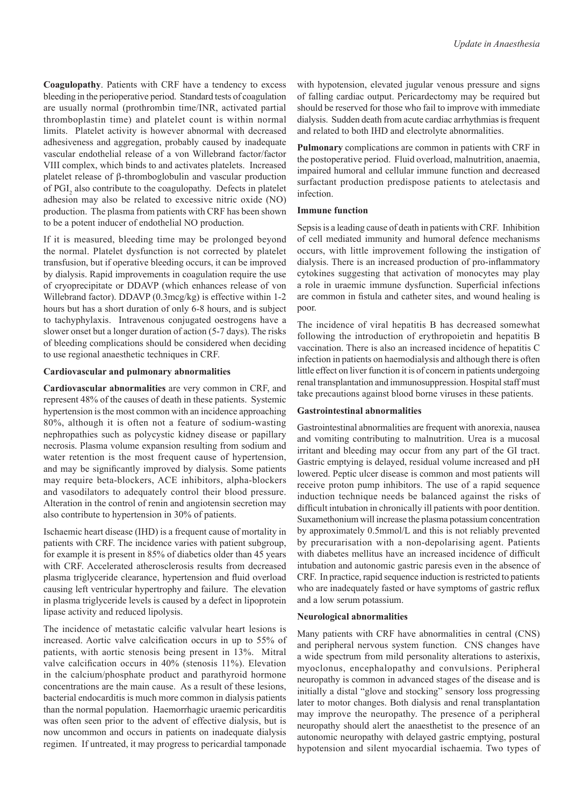**Coagulopathy**. Patients with CRF have a tendency to excess bleeding in the perioperative period. Standard tests of coagulation are usually normal (prothrombin time/INR, activated partial thromboplastin time) and platelet count is within normal limits. Platelet activity is however abnormal with decreased adhesiveness and aggregation, probably caused by inadequate vascular endothelial release of a von Willebrand factor/factor VIII complex, which binds to and activates platelets. Increased platelet release of β-thromboglobulin and vascular production of PGI<sub>2</sub> also contribute to the coagulopathy. Defects in platelet adhesion may also be related to excessive nitric oxide (NO) production. The plasma from patients with CRF has been shown to be a potent inducer of endothelial NO production.

If it is measured, bleeding time may be prolonged beyond the normal. Platelet dysfunction is not corrected by platelet transfusion, but if operative bleeding occurs, it can be improved by dialysis. Rapid improvements in coagulation require the use of cryoprecipitate or DDAVP (which enhances release of von Willebrand factor). DDAVP (0.3mcg/kg) is effective within 1-2 hours but has a short duration of only 6-8 hours, and is subject to tachyphylaxis. Intravenous conjugated oestrogens have a slower onset but a longer duration of action (5-7 days). The risks of bleeding complications should be considered when deciding to use regional anaesthetic techniques in CRF.

### **Cardiovascular and pulmonary abnormalities**

**Cardiovascular abnormalities** are very common in CRF, and represent 48% of the causes of death in these patients. Systemic hypertension is the most common with an incidence approaching 80%, although it is often not a feature of sodium-wasting nephropathies such as polycystic kidney disease or papillary necrosis. Plasma volume expansion resulting from sodium and water retention is the most frequent cause of hypertension, and may be significantly improved by dialysis. Some patients may require beta-blockers, ACE inhibitors, alpha-blockers and vasodilators to adequately control their blood pressure. Alteration in the control of renin and angiotensin secretion may also contribute to hypertension in 30% of patients.

Ischaemic heart disease (IHD) is a frequent cause of mortality in patients with CRF. The incidence varies with patient subgroup, for example it is present in 85% of diabetics older than 45 years with CRF. Accelerated atherosclerosis results from decreased plasma triglyceride clearance, hypertension and fluid overload causing left ventricular hypertrophy and failure. The elevation in plasma triglyceride levels is caused by a defect in lipoprotein lipase activity and reduced lipolysis.

The incidence of metastatic calcific valvular heart lesions is increased. Aortic valve calcification occurs in up to 55% of patients, with aortic stenosis being present in 13%. Mitral valve calcification occurs in 40% (stenosis 11%). Elevation in the calcium/phosphate product and parathyroid hormone concentrations are the main cause. As a result of these lesions, bacterial endocarditis is much more common in dialysis patients than the normal population. Haemorrhagic uraemic pericarditis was often seen prior to the advent of effective dialysis, but is now uncommon and occurs in patients on inadequate dialysis regimen. If untreated, it may progress to pericardial tamponade

with hypotension, elevated jugular venous pressure and signs of falling cardiac output. Pericardectomy may be required but should be reserved for those who fail to improve with immediate dialysis. Sudden death from acute cardiac arrhythmias is frequent and related to both IHD and electrolyte abnormalities.

**Pulmonary** complications are common in patients with CRF in the postoperative period. Fluid overload, malnutrition, anaemia, impaired humoral and cellular immune function and decreased surfactant production predispose patients to atelectasis and infection.

### **Immune function**

Sepsis is a leading cause of death in patients with CRF. Inhibition of cell mediated immunity and humoral defence mechanisms occurs, with little improvement following the instigation of dialysis. There is an increased production of pro-inflammatory cytokines suggesting that activation of monocytes may play a role in uraemic immune dysfunction. Superficial infections are common in fistula and catheter sites, and wound healing is poor.

The incidence of viral hepatitis B has decreased somewhat following the introduction of erythropoietin and hepatitis B vaccination. There is also an increased incidence of hepatitis C infection in patients on haemodialysis and although there is often little effect on liver function it is of concern in patients undergoing renal transplantation and immunosuppression. Hospital staff must take precautions against blood borne viruses in these patients.

#### **Gastrointestinal abnormalities**

Gastrointestinal abnormalities are frequent with anorexia, nausea and vomiting contributing to malnutrition. Urea is a mucosal irritant and bleeding may occur from any part of the GI tract. Gastric emptying is delayed, residual volume increased and pH lowered. Peptic ulcer disease is common and most patients will receive proton pump inhibitors. The use of a rapid sequence induction technique needs be balanced against the risks of difficult intubation in chronically ill patients with poor dentition. Suxamethonium will increase the plasma potassium concentration by approximately 0.5mmol/L and this is not reliably prevented by precurarisation with a non-depolarising agent. Patients with diabetes mellitus have an increased incidence of difficult intubation and autonomic gastric paresis even in the absence of CRF. In practice, rapid sequence induction is restricted to patients who are inadequately fasted or have symptoms of gastric reflux and a low serum potassium.

#### **Neurological abnormalities**

Many patients with CRF have abnormalities in central (CNS) and peripheral nervous system function. CNS changes have a wide spectrum from mild personality alterations to asterixis, myoclonus, encephalopathy and convulsions. Peripheral neuropathy is common in advanced stages of the disease and is initially a distal "glove and stocking" sensory loss progressing later to motor changes. Both dialysis and renal transplantation may improve the neuropathy. The presence of a peripheral neuropathy should alert the anaesthetist to the presence of an autonomic neuropathy with delayed gastric emptying, postural hypotension and silent myocardial ischaemia. Two types of